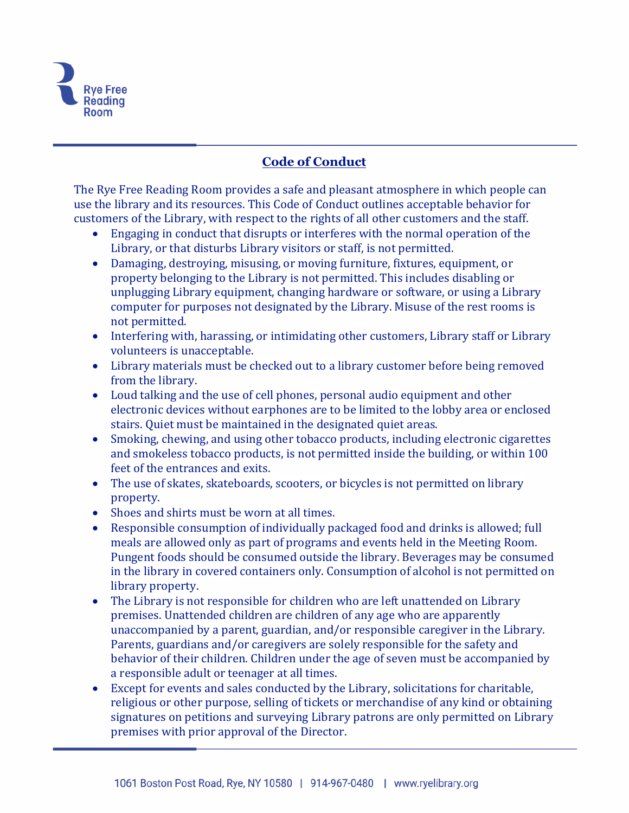

## **Code of Conduct**

The Rye Free Reading Room provides a safe and pleasant atmosphere in which people can use the library and its resources. This Code of Conduct outlines acceptable behavior for customers of the Library, with respect to the rights of all other customers and the staff.

- Engaging in conduct that disrupts or interferes with the normal operation of the Library, or that disturbs Library visitors or staff, is not permitted.
- Damaging, destroying, misusing, or moving furniture, fixtures, equipment, or property belonging to the Library is not permitted. This includes disabling or unplugging Library equipment, changing hardware or software, or using a Library computer for purposes not designated by the Library. Misuse of the rest rooms is not permitted.
- Interfering with, harassing, or intimidating other customers, Library staff or Library volunteers is unacceptable.
- Library materials must be checked out to a library customer before being removed from the library.
- Loud talking and the use of cell phones, personal audio equipment and other electronic devices without earphones are to be limited to the lobby area or enclosed stairs. Quiet must be maintained in the designated quiet areas.
- Smoking, chewing, and using other tobacco products, including electronic cigarettes and smokeless tobacco products, is not permitted inside the building, or within 100 feet of the entrances and exits.
- The use of skates, skateboards, scooters, or bicycles is not permitted on library property.
- Shoes and shirts must be worn at all times.
- Responsible consumption of individually packaged food and drinks is allowed; full meals are allowed only as part of programs and events held in the Meeting Room. Pungent foods should be consumed outside the library. Beverages may be consumed in the library in covered containers only. Consumption of alcohol is not permitted on library property.
- The Library is not responsible for children who are left unattended on Library premises. Unattended children are children of any age who are apparently unaccompanied by a parent, guardian, and/or responsible caregiver in the Library. Parents, guardians and/or caregivers are solely responsible for the safety and behavior of their children. Children under the age of seven must be accompanied by a responsible adult or teenager at all times.
- Except for events and sales conducted by the Library, solicitations for charitable, religious or other purpose, selling of tickets or merchandise of any kind or obtaining signatures on petitions and surveying Library patrons are only permitted on Library premises with prior approval of the Director.